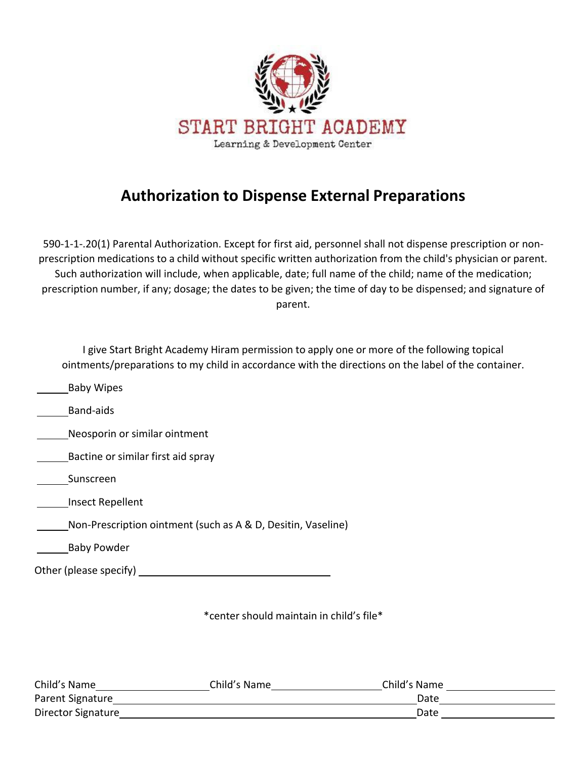

# **Authorization to Dispense External Preparations**

590-1-1-.20(1) Parental Authorization. Except for first aid, personnel shall not dispense prescription or nonprescription medications to a child without specific written authorization from the child's physician or parent. Such authorization will include, when applicable, date; full name of the child; name of the medication; prescription number, if any; dosage; the dates to be given; the time of day to be dispensed; and signature of parent.

| I give Start Bright Academy Hiram permission to apply one or more of the following topical<br>ointments/preparations to my child in accordance with the directions on the label of the container. |
|---------------------------------------------------------------------------------------------------------------------------------------------------------------------------------------------------|
| <b>Baby Wipes</b>                                                                                                                                                                                 |
| <b>Band-aids</b>                                                                                                                                                                                  |
| Neosporin or similar ointment                                                                                                                                                                     |
| Bactine or similar first aid spray                                                                                                                                                                |
| Sunscreen                                                                                                                                                                                         |
| Insect Repellent                                                                                                                                                                                  |
| Non-Prescription ointment (such as A & D, Desitin, Vaseline)                                                                                                                                      |
| <b>Baby Powder</b>                                                                                                                                                                                |
| Other (please specify)                                                                                                                                                                            |
|                                                                                                                                                                                                   |

\*center should maintain in child's file\*

| Child's Name       | Child's Name | Child's Name |  |
|--------------------|--------------|--------------|--|
| Parent Signature   |              | Date         |  |
| Director Signature |              | Date         |  |
|                    |              |              |  |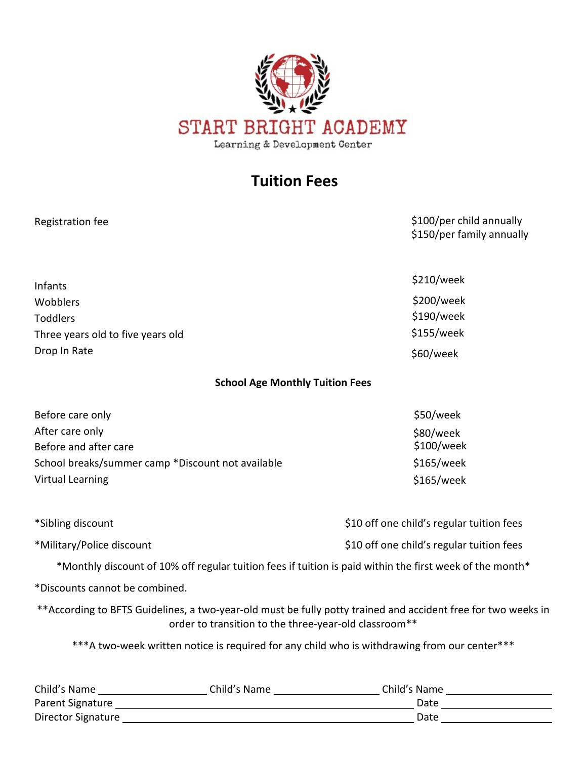

## **Tuition Fees**

| Registration fee                                                                                                      |                                                                                                                                                                                                                                | \$100/per child annually<br>\$150/per family annually                                                          |
|-----------------------------------------------------------------------------------------------------------------------|--------------------------------------------------------------------------------------------------------------------------------------------------------------------------------------------------------------------------------|----------------------------------------------------------------------------------------------------------------|
|                                                                                                                       |                                                                                                                                                                                                                                | \$210/week                                                                                                     |
| Infants                                                                                                               |                                                                                                                                                                                                                                |                                                                                                                |
| Wobblers                                                                                                              |                                                                                                                                                                                                                                | \$200/week                                                                                                     |
| <b>Toddlers</b>                                                                                                       |                                                                                                                                                                                                                                | \$190/week                                                                                                     |
| Three years old to five years old                                                                                     |                                                                                                                                                                                                                                | \$155/week                                                                                                     |
| Drop In Rate                                                                                                          |                                                                                                                                                                                                                                | \$60/week                                                                                                      |
|                                                                                                                       | <b>School Age Monthly Tuition Fees</b>                                                                                                                                                                                         |                                                                                                                |
| Before care only                                                                                                      |                                                                                                                                                                                                                                | \$50/week                                                                                                      |
| After care only                                                                                                       |                                                                                                                                                                                                                                | \$80/week                                                                                                      |
| Before and after care                                                                                                 |                                                                                                                                                                                                                                | \$100/week                                                                                                     |
| School breaks/summer camp *Discount not available                                                                     |                                                                                                                                                                                                                                | \$165/week                                                                                                     |
| <b>Virtual Learning</b>                                                                                               |                                                                                                                                                                                                                                | \$165/week                                                                                                     |
| *Sibling discount                                                                                                     |                                                                                                                                                                                                                                | \$10 off one child's regular tuition fees                                                                      |
| *Military/Police discount                                                                                             |                                                                                                                                                                                                                                | \$10 off one child's regular tuition fees                                                                      |
|                                                                                                                       |                                                                                                                                                                                                                                | *Monthly discount of 10% off regular tuition fees if tuition is paid within the first week of the month*       |
| *Discounts cannot be combined.                                                                                        |                                                                                                                                                                                                                                |                                                                                                                |
|                                                                                                                       | order to transition to the three-year-old classroom**                                                                                                                                                                          | ** According to BFTS Guidelines, a two-year-old must be fully potty trained and accident free for two weeks in |
|                                                                                                                       |                                                                                                                                                                                                                                | *** A two-week written notice is required for any child who is withdrawing from our center***                  |
|                                                                                                                       |                                                                                                                                                                                                                                | Child's Name ________________________Child's Name ______________________Child's Name ________________________  |
|                                                                                                                       | Parent Signature Lawrence and Contract and Contract of the Contract of the Contract of the Contract of the Contract of the Contract of the Contract of the Contract of the Contract of the Contract of the Contract of the Con |                                                                                                                |
| Director Signature <b>Exercise Signature</b> and the state of the state of the state of the state of the state of the |                                                                                                                                                                                                                                | Date and the state of the state of the state of the state of the state of the state of the state of the state  |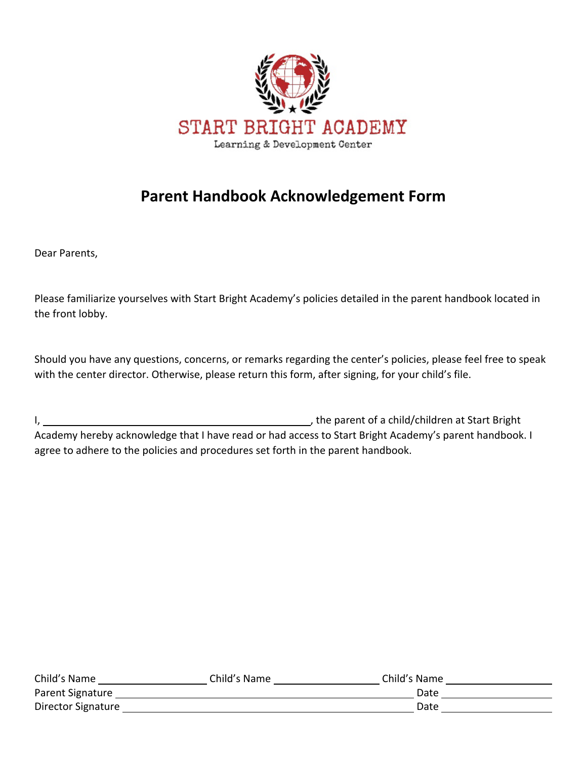

# **Parent Handbook Acknowledgement Form**

Dear Parents,

Please familiarize yourselves with Start Bright Academy's policies detailed in the parent handbook located in the front lobby.

Should you have any questions, concerns, or remarks regarding the center's policies, please feel free to speak with the center director. Otherwise, please return this form, after signing, for your child's file.

I, 1. All the parent of a child/children at Start Bright Academy hereby acknowledge that I have read or had access to Start Bright Academy's parent handbook. I agree to adhere to the policies and procedures set forth in the parent handbook.

| Child's Name       | Child's Name | Child's Name |  |
|--------------------|--------------|--------------|--|
| Parent Signature   |              | Date         |  |
| Director Signature |              | Date         |  |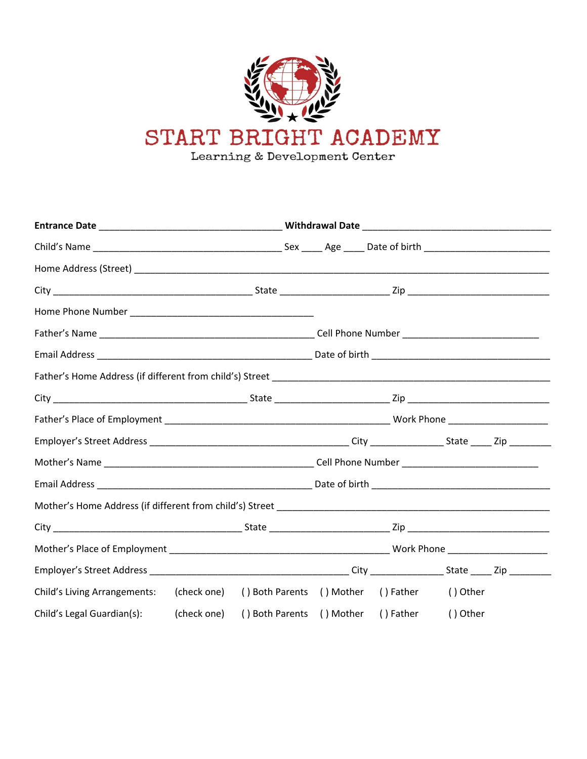

| Child's Living Arrangements: (check one) () Both Parents () Mother () Father () Other |  |  |          |  |
|---------------------------------------------------------------------------------------|--|--|----------|--|
| Child's Legal Guardian(s): (check one) () Both Parents () Mother () Father            |  |  | () Other |  |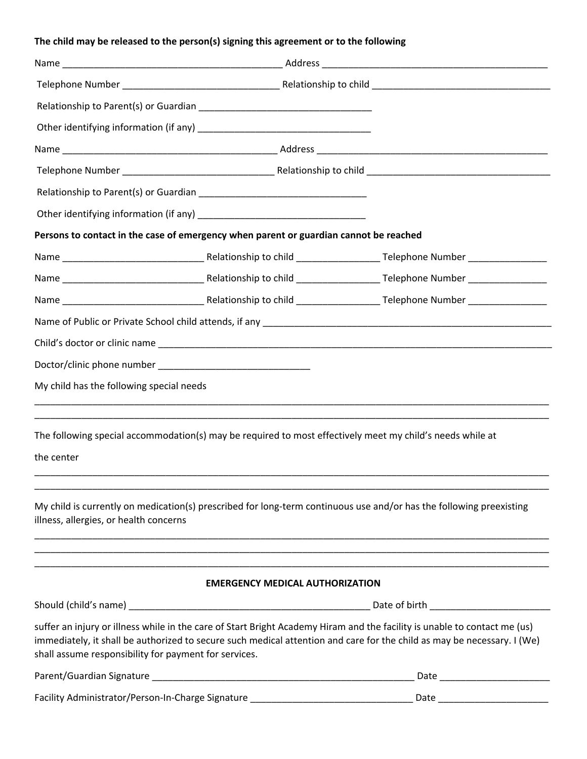### **The child may be released to the person(s) signing this agreement or to the following**

|                                                       | Persons to contact in the case of emergency when parent or guardian cannot be reached                     |                                                                                                                                                                                                                                                      |
|-------------------------------------------------------|-----------------------------------------------------------------------------------------------------------|------------------------------------------------------------------------------------------------------------------------------------------------------------------------------------------------------------------------------------------------------|
|                                                       |                                                                                                           |                                                                                                                                                                                                                                                      |
|                                                       |                                                                                                           |                                                                                                                                                                                                                                                      |
|                                                       |                                                                                                           |                                                                                                                                                                                                                                                      |
|                                                       |                                                                                                           |                                                                                                                                                                                                                                                      |
|                                                       |                                                                                                           |                                                                                                                                                                                                                                                      |
|                                                       |                                                                                                           |                                                                                                                                                                                                                                                      |
| My child has the following special needs              |                                                                                                           |                                                                                                                                                                                                                                                      |
|                                                       |                                                                                                           |                                                                                                                                                                                                                                                      |
|                                                       | The following special accommodation(s) may be required to most effectively meet my child's needs while at |                                                                                                                                                                                                                                                      |
| the center                                            |                                                                                                           |                                                                                                                                                                                                                                                      |
|                                                       |                                                                                                           |                                                                                                                                                                                                                                                      |
| illness, allergies, or health concerns                |                                                                                                           | My child is currently on medication(s) prescribed for long-term continuous use and/or has the following preexisting                                                                                                                                  |
|                                                       |                                                                                                           |                                                                                                                                                                                                                                                      |
|                                                       | <b>EMERGENCY MEDICAL AUTHORIZATION</b>                                                                    |                                                                                                                                                                                                                                                      |
|                                                       |                                                                                                           |                                                                                                                                                                                                                                                      |
| shall assume responsibility for payment for services. |                                                                                                           | suffer an injury or illness while in the care of Start Bright Academy Hiram and the facility is unable to contact me (us)<br>immediately, it shall be authorized to secure such medical attention and care for the child as may be necessary. I (We) |
|                                                       |                                                                                                           |                                                                                                                                                                                                                                                      |
|                                                       | Facility Administrator/Person-In-Charge Signature ______________________________                          |                                                                                                                                                                                                                                                      |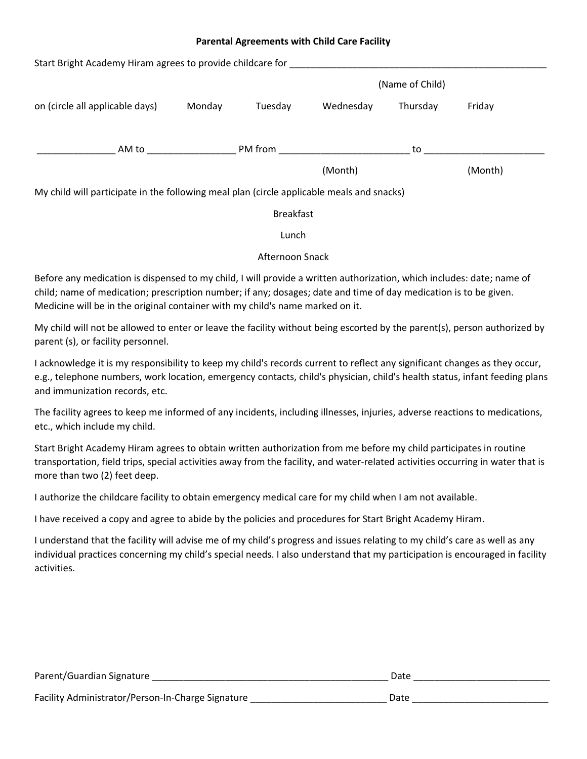#### **Parental Agreements with Child Care Facility**

| Start Bright Academy Hiram agrees to provide childcare for                                                     |        |                  |           |                 |         |  |
|----------------------------------------------------------------------------------------------------------------|--------|------------------|-----------|-----------------|---------|--|
|                                                                                                                |        |                  |           | (Name of Child) |         |  |
| on (circle all applicable days)                                                                                | Monday | Tuesday          | Wednesday | Thursday        | Friday  |  |
| AM to and the state of the state of the state of the state of the state of the state of the state of the state |        | PM from          |           | to              |         |  |
|                                                                                                                |        |                  | (Month)   |                 | (Month) |  |
| My child will participate in the following meal plan (circle applicable meals and snacks)                      |        |                  |           |                 |         |  |
|                                                                                                                |        | <b>Breakfast</b> |           |                 |         |  |
|                                                                                                                |        |                  |           |                 |         |  |

Lunch

#### Afternoon Snack

Before any medication is dispensed to my child, I will provide a written authorization, which includes: date; name of child; name of medication; prescription number; if any; dosages; date and time of day medication is to be given. Medicine will be in the original container with my child's name marked on it.

My child will not be allowed to enter or leave the facility without being escorted by the parent(s), person authorized by parent (s), or facility personnel.

I acknowledge it is my responsibility to keep my child's records current to reflect any significant changes as they occur, e.g., telephone numbers, work location, emergency contacts, child's physician, child's health status, infant feeding plans and immunization records, etc.

The facility agrees to keep me informed of any incidents, including illnesses, injuries, adverse reactions to medications, etc., which include my child.

Start Bright Academy Hiram agrees to obtain written authorization from me before my child participates in routine transportation, field trips, special activities away from the facility, and water-related activities occurring in water that is more than two (2) feet deep.

I authorize the childcare facility to obtain emergency medical care for my child when I am not available.

I have received a copy and agree to abide by the policies and procedures for Start Bright Academy Hiram.

I understand that the facility will advise me of my child's progress and issues relating to my child's care as well as any individual practices concerning my child's special needs. I also understand that my participation is encouraged in facility activities.

| Parent/Guardian Signature                         | Date |
|---------------------------------------------------|------|
| Facility Administrator/Person-In-Charge Signature | Date |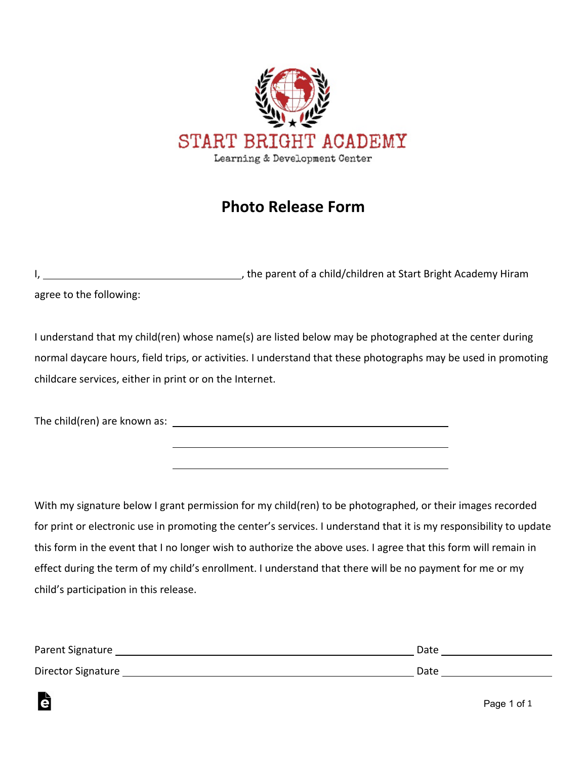

## **Photo Release Form**

|                         | , the parent of a child/children at Start Bright Academy Hiram |
|-------------------------|----------------------------------------------------------------|
| agree to the following: |                                                                |

I understand that my child(ren) whose name(s) are listed below may be photographed at the center during normal daycare hours, field trips, or activities. I understand that these photographs may be used in promoting childcare services, either in print or on the Internet.

The child(ren) are known as:

Ġ

With my signature below I grant permission for my child(ren) to be photographed, or their images recorded for print or electronic use in promoting the center's services. I understand that it is my responsibility to update this form in the event that I no longer wish to authorize the above uses. I agree that this form will remain in effect during the term of my child's enrollment. I understand that there will be no payment for me or my child's participation in this release.

| Parent Signature   | Date |
|--------------------|------|
| Director Signature | Date |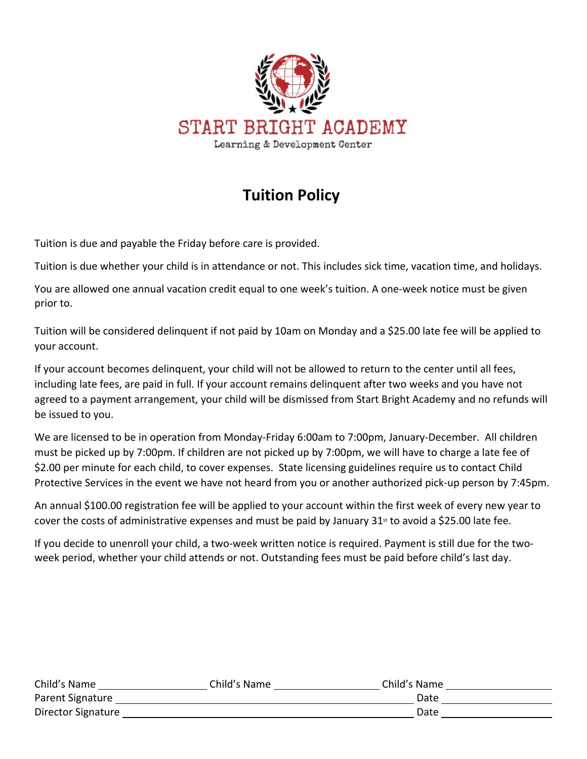

# **Tuition Policy**

Tuition is due and payable the Friday before care is provided.

Tuition is due whether your child is in attendance or not. This includes sick time, vacation time, and holidays.

You are allowed one annual vacation credit equal to one week's tuition. A one-week notice must be given prior to.

Tuition will be considered delinquent if not paid by 10am on Monday and a \$25.00 late fee will be applied to your account.

If your account becomes delinquent, your child will not be allowed to return to the center until all fees, including late fees, are paid in full. If your account remains delinquent after two weeks and you have not agreed to a payment arrangement, your child will be dismissed from Start Bright Academy and no refunds will be issued to you.

We are licensed to be in operation from Monday-Friday 6:00am to 7:00pm, January-December. All children must be picked up by 7:00pm. If children are not picked up by 7:00pm, we will have to charge a late fee of \$2.00 per minute for each child, to cover expenses. State licensing guidelines require us to contact Child Protective Services in the event we have not heard from you or another authorized pick-up person by 7:45pm.

An annual \$100.00 registration fee will be applied to your account within the first week of every new year to cover the costs of administrative expenses and must be paid by January 31<sup>st</sup> to avoid a \$25.00 late fee.

If you decide to unenroll your child, a two-week written notice is required. Payment is still due for the twoweek period, whether your child attends or not. Outstanding fees must be paid before child's last day.

| Child's Name       | Child's Name | Child's Name |  |
|--------------------|--------------|--------------|--|
| Parent Signature   |              | Date         |  |
| Director Signature |              | Date         |  |